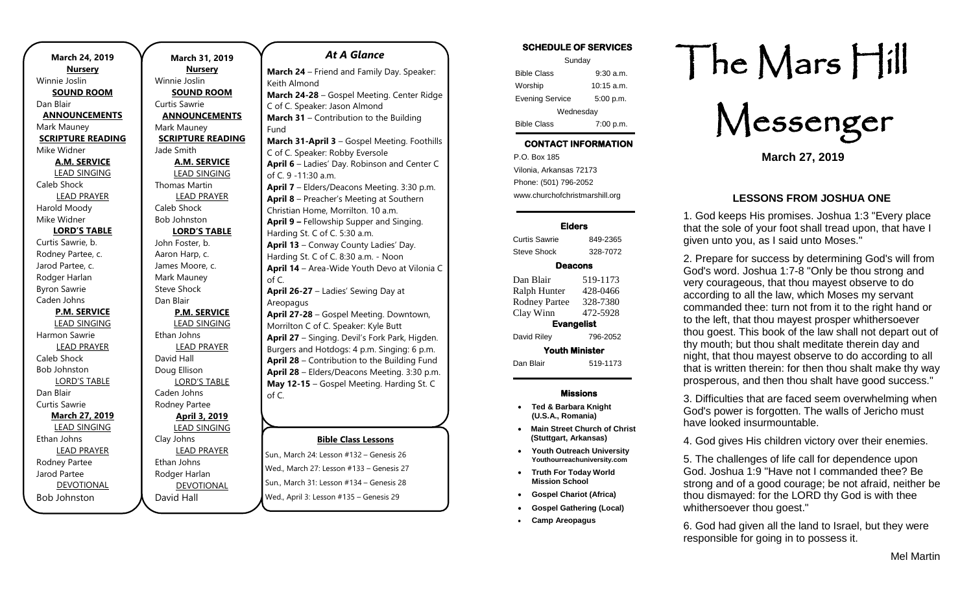| March 24, 2019           | March              |
|--------------------------|--------------------|
| <b>Nursery</b>           | Nu                 |
| Winnie Joslin            | Winnie Josli       |
| <b>SOUND ROOM</b>        | <b>SOUNI</b>       |
| Dan Blair                | Curtis Sawri       |
| <b>ANNOUNCEMENTS</b>     | <b>ANNOUN</b>      |
| Mark Mauney              | Mark Maun          |
| <b>SCRIPTURE READING</b> | <b>SCRIPTUR</b>    |
| Mike Widner              | Jade Smith         |
| <b>A.M. SERVICE</b>      | <u>A.M. S</u>      |
| <b>LEAD SINGING</b>      | LEAD S             |
| Caleb Shock              | <b>Thomas Ma</b>   |
| <b>LEAD PRAYER</b>       | <b>LEAD</b>        |
| Harold Moody             | Caleb Shocl        |
| Mike Widner              | <b>Bob Johnsto</b> |
| <b>LORD'S TABLE</b>      | LORD'              |
| Curtis Sawrie, b.        | John Foster        |
| Rodney Partee, c.        | Aaron Harp         |
| Jarod Partee, c.         | James Moo          |
| Rodger Harlan            | Mark Maun          |
| <b>Byron Sawrie</b>      | Steve Shock        |
| Caden Johns              | Dan Blair          |
| <b>P.M. SERVICE</b>      | <u>P.M. S</u>      |
| <b>LEAD SINGING</b>      | LEAD 9             |
| Harmon Sawrie            | Ethan Johns        |
| <b>LEAD PRAYER</b>       | <b>LEAD</b>        |
| Caleb Shock              | David Hall         |
| <b>Bob Johnston</b>      | Doug Elliso        |
| <b>LORD'S TABLE</b>      | LORD'              |
| Dan Blair                | Caden John         |
| <b>Curtis Sawrie</b>     | Rodney Par         |
| <b>March 27, 2019</b>    | <b>April</b>       |
| <b>LEAD SINGING</b>      | LEAD <sub>S</sub>  |
| Ethan Johns              | Clay Johns         |
| <b>LEAD PRAYER</b>       | <b>LEAD</b>        |
| Rodney Partee            | Ethan Johns        |
| Jarod Partee             | Rodger Har         |
| <b>DEVOTIONAL</b>        | <b>DEVO</b>        |
| <b>Bob Johnston</b>      | David Hall         |

#### **March 31, 2019 Nursery** Winnie Joslin **SOUND ROOM** urtis Sawrie **ANNOUNCEMENTS** Mark Mauney **SCRIPTURE READING** ade Smith **A.M. SERVICE** LEAD SINGING **Thomas Martin** LEAD PRAYER Caleb Shock Bob Johnston **LORD'S TABLE** ohn Foster, b. Aaron Harp, c. ames Moore, c. Mark Mauney Steve Shock Dan Blair **P.M. SERVICE** LEAD SINGING Ethan Johns LEAD PRAYER David Hall Doug Ellison LORD'S TABLE Caden Johns Rodney Partee **April 3, 2019** LEAD SINGING Clay Johns LEAD PRAYER Ethan Johns Rodger Harlan DEVOTIONAL of C. **June 3-6** – Day Camp at Areopagus. K-3

#### *At A Glance*

**March 24** – Friend and Family Day. Speaker: Keith Almond **March 24-28** – Gospel Meeting. Center Ridge C of C. Speaker: Jason Almond **March 31** – Contribution to the Building Fund **March 31-April 3** – Gospel Meeting. Foothills C of C. Speaker: Robby Eversole **April 6** – Ladies' Day. Robinson and Center C of C. 9 -11:30 a.m. **April 7** – Elders/Deacons Meeting. 3:30 p.m. **April 8** – Preacher's Meeting at Southern Christian Home, Morrilton. 10 a.m. **April 9 –** Fellowship Supper and Singing. Harding St. C of C. 5:30 a.m. **April 13** – Conway County Ladies' Day. Harding St. C of C. 8:30 a.m. - Noon **April 14** – Area-Wide Youth Devo at Vilonia C of C. **April 26-27** – Ladies' Sewing Day at Areopagus **April 27-28** – Gospel Meeting. Downtown, Morrilton C of C. Speaker: Kyle Butt **April 27** – Singing. Devil's Fork Park, Higden. Burgers and Hotdogs: 4 p.m. Singing: 6 p.m. **April 28** – Contribution to the Building Fund **April 28** – Elders/Deacons Meeting. 3:30 p.m. **May 12-15** – Gospel Meeting. Harding St. C

#### **Bible Class Lessons**

rd

Sun., March 24: Lesson #132 - Genesis 26 wed., March 27: Lesson #133 – Genesis 27 Sun., March 31: Lesson #134 – Genesis 28 **June 16-20** – Middle School Session at Wed., April 3: Lesson #135 – Genesis 29  $\frac{1}{2}$ sun., March 3 i. Lesson # 134 ·

 $\overline{\phantom{0}}$ 

th Graders

### **SCHEDULE OF SERVICES**  Sunday Bible Class 9:30 a.m. Worship 10:15 a.m. Evening Service 5:00 p.m. **Wednesdav** Bible Class 7:00 p.m.

## **CONTACT INFORMATION**

. .o. Box 166<br>Vilonia, Arkansas 72173 P.O. Box 185 Phone: (501) 796-2052 www.churchofchristmarshill.org

#### **Elders**

Curtis Sawrie 849-2365 Steve Shock 328-7072

#### **Deacons**

| Dan Blair             | 519-1173 |  |
|-----------------------|----------|--|
| Ralph Hunter          | 428-0466 |  |
| <b>Rodney Partee</b>  | 328-7380 |  |
| Clay Winn             | 472-5928 |  |
| <b>Evangelist</b>     |          |  |
| David Riley           | 796-2052 |  |
| <b>Youth Minister</b> |          |  |
| Dan Blair             | 519-1173 |  |
|                       |          |  |

#### **Missions**

- **Ted & Barbara Knight (U.S.A., Romania)**
- **Main Street Church of Christ (Stuttgart, Arkansas)**
- **Youth Outreach University Youthourreachuniversity.com**
- **Truth For Today World Mission School**
- **Gospel Chariot (Africa)**
- **Gospel Gathering (Local)**
- **Camp Areopagus**

# The Mars Hill

Messenger

**March 27, 2019**

## **LESSONS FROM JOSHUA ONE**

1. God keeps His promises. Joshua 1:3 "Every place that the sole of your foot shall tread upon, that have I given unto you, as I said unto Moses."

2. Prepare for success by determining God's will from God's word. Joshua 1:7-8 "Only be thou strong and very courageous, that thou mayest observe to do according to all the law, which Moses my servant commanded thee: turn not from it to the right hand or to the left, that thou mayest prosper whithersoever thou goest. This book of the law shall not depart out of thy mouth; but thou shalt meditate therein day and night, that thou mayest observe to do according to all that is written therein: for then thou shalt make thy way prosperous, and then thou shalt have good success."

3. Difficulties that are faced seem overwhelming when God's power is forgotten. The walls of Jericho must have looked insurmountable.

4. God gives His children victory over their enemies.

5. The challenges of life call for dependence upon God. Joshua 1:9 "Have not I commanded thee? Be strong and of a good courage; be not afraid, neither be thou dismayed: for the LORD thy God is with thee whithersoever thou goest."

6. God had given all the land to Israel, but they were responsible for going in to possess it.